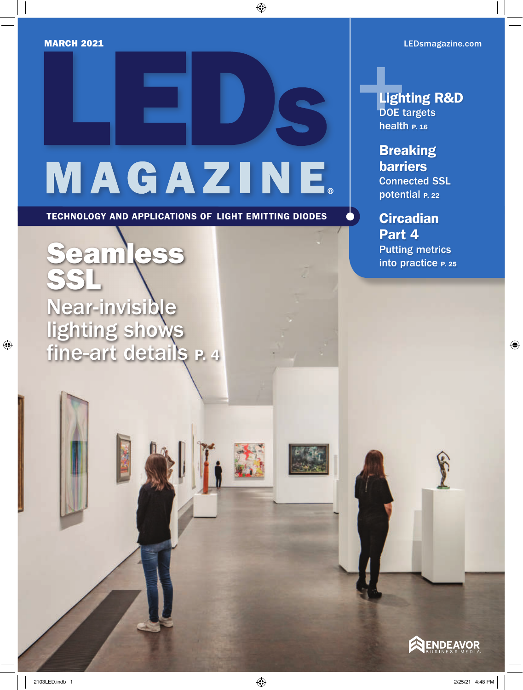# MAGAZINE

TECHNOLOGY AND APPLICATIONS OF LIGHT EMITTING DIODES

[Seamless](#page--1-0)  SSL Near-invisible lighting shows fine-art details **P. 4** 

**[Lighting R&D](#page--1-0)** DOE targets health P. 16

**[Breaking](#page--1-0)** barriers Connected SSL potential P. 22

**Circadian** Part 4 Putting metrics into practice P. 25

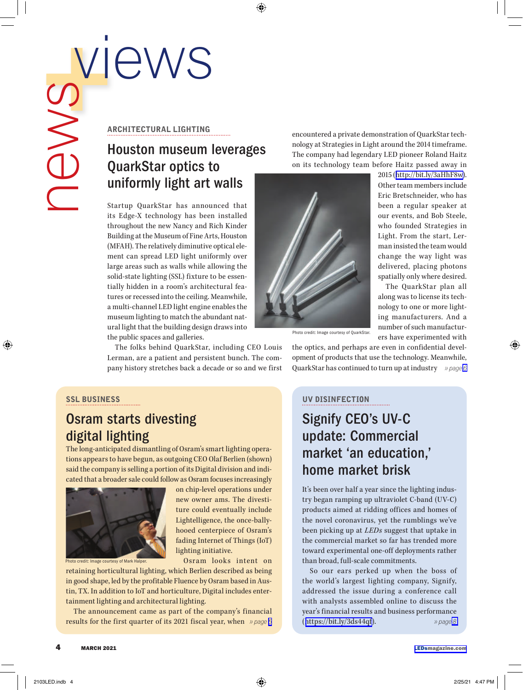#### <span id="page-1-0"></span>ARCHITECTURAL LIGHTING

# Houston museum leverages QuarkStar optics to uniformly light art walls

Startup QuarkStar has announced that its Edge-X technology has been installed throughout the new Nancy and Rich Kinder Building at the Museum of Fine Arts, Houston (MFAH). The relatively diminutive optical element can spread LED light uniformly over large areas such as walls while allowing the solid-state lighting (SSL) fixture to be essentially hidden in a room's architectural features or recessed into the ceiling. Meanwhile, a multi-channel LED light engine enables the museum lighting to match the abundant natural light that the building design draws into the public spaces and galleries.

The folks behind QuarkStar, including CEO Louis Lerman, are a patient and persistent bunch. The company history stretches back a decade or so and we first encountered a private demonstration of QuarkStar technology at Strategies in Light around the 2014 timeframe. The company had legendary LED pioneer Roland Haitz on its technology team before Haitz passed away in

> 2015 ([http://bit.ly/3aHhF8w\)](http://bit.ly/3aHhF8w). Other team members include Eric Bretschneider, who has been a regular speaker at our events, and Bob Steele, who founded Strategies in Light. From the start, Lerman insisted the team would change the way light was delivered, placing photons spatially only where desired. The QuarkStar plan all along was to license its technology to one or more lighting manufacturers. And a number of such manufacturers have experimented with



Photo credit: Image courtesy of QuarkStar.

the optics, and perhaps are even in confidential development of products that use the technology. Meanwhile, QuarkStar has continued to turn up at industry *» page [6](#page-2-0)*

### SSL BUSINESS

## Osram starts divesting digital lighting

The long-anticipated dismantling of Osram's smart lighting operations appears to have begun, as outgoing CEO Olaf Berlien (shown) said the company is selling a portion of its Digital division and indicated that a broader sale could follow as Osram focuses increasingly



on chip-level operations under new owner ams. The divestiture could eventually include Lightelligence, the once-ballyhooed centerpiece of Osram's fading Internet of Things (IoT) lighting initiative.

Osram looks intent on

Photo credit: Image courtesy of Mark Halper.

retaining horticultural lighting, which Berlien described as being in good shape, led by the profitable Fluence by Osram based in Austin, TX. In addition to IoT and horticulture, Digital includes entertainment lighting and architectural lighting.

The announcement came as part of the company's financial results for the first quarter of its 2021 fiscal year, when  $\gg$  page  $\delta$ 

#### UV DISINFECTION

## Signify CEO's UV-C update: Commercial market 'an education,' home market brisk

It's been over half a year since the lighting industry began ramping up ultraviolet C-band (UV-C) products aimed at ridding offices and homes of the novel coronavirus, yet the rumblings we've been picking up at *LEDs* suggest that uptake in the commercial market so far has trended more toward experimental one-off deployments rather than broad, full-scale commitments.

So our ears perked up when the boss of the world's largest lighting company, Signify, addressed the issue during a conference call with analysts assembled online to discuss the year's financial results and business performance ([https://bit.ly/3ds44qf\)](https://bit.ly/3ds44qf). *» page [6](#page-2-0) » page 8*